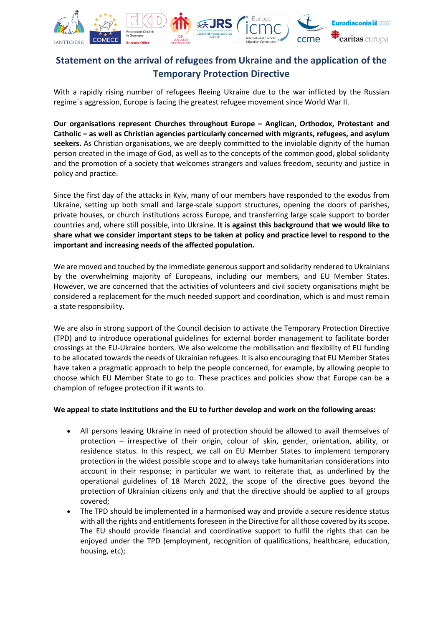

## **Statement on the arrival of refugees from Ukraine and the application of the Temporary Protection Directive**

With a rapidly rising number of refugees fleeing Ukraine due to the war inflicted by the Russian regime´s aggression, Europe is facing the greatest refugee movement since World War II.

**Our organisations represent Churches throughout Europe – Anglican, Orthodox, Protestant and Catholic – as well as Christian agencies particularly concerned with migrants, refugees, and asylum seekers.** As Christian organisations, we are deeply committed to the inviolable dignity of the human person created in the image of God, as well as to the concepts of the common good, global solidarity and the promotion of a society that welcomes strangers and values freedom, security and justice in policy and practice.

Since the first day of the attacks in Kyiv, many of our members have responded to the exodus from Ukraine, setting up both small and large-scale support structures, opening the doors of parishes, private houses, or church institutions across Europe, and transferring large scale support to border countries and, where still possible, into Ukraine. **It is against this background that we would like to share what we consider important steps to be taken at policy and practice level to respond to the important and increasing needs of the affected population.**

We are moved and touched by the immediate generous support and solidarity rendered to Ukrainians by the overwhelming majority of Europeans, including our members, and EU Member States. However, we are concerned that the activities of volunteers and civil society organisations might be considered a replacement for the much needed support and coordination, which is and must remain a state responsibility.

We are also in strong support of the Council decision to activate the Temporary Protection Directive (TPD) and to introduce operational guidelines for external border management to facilitate border crossings at the EU-Ukraine borders. We also welcome the mobilisation and flexibility of EU funding to be allocated towards the needs of Ukrainian refugees. It is also encouraging that EU Member States have taken a pragmatic approach to help the people concerned, for example, by allowing people to choose which EU Member State to go to. These practices and policies show that Europe can be a champion of refugee protection if it wants to.

## **We appeal to state institutions and the EU to further develop and work on the following areas:**

- All persons leaving Ukraine in need of protection should be allowed to avail themselves of protection – irrespective of their origin, colour of skin, gender, orientation, ability, or residence status. In this respect, we call on EU Member States to implement temporary protection in the widest possible scope and to always take humanitarian considerations into account in their response; in particular we want to reiterate that, as underlined by the operational guidelines of 18 March 2022, the scope of the directive goes beyond the protection of Ukrainian citizens only and that the directive should be applied to all groups covered;
- The TPD should be implemented in a harmonised way and provide a secure residence status with all the rights and entitlements foreseen in the Directive for all those covered by its scope. The EU should provide financial and coordinative support to fulfil the rights that can be enjoyed under the TPD (employment, recognition of qualifications, healthcare, education, housing, etc);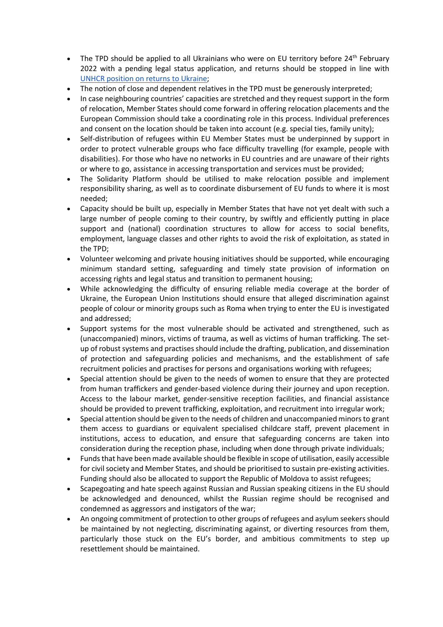- The TPD should be applied to all Ukrainians who were on EU territory before  $24<sup>th</sup>$  February 2022 with a pending legal status application, and returns should be stopped in line wit[h](https://www.refworld.org/pdfid/621de9894.pdf) [UNHCR position on returns to Ukraine;](https://www.refworld.org/pdfid/621de9894.pdf)
- The notion of close and dependent relatives in the TPD must be generously interpreted;
- In case neighbouring countries' capacities are stretched and they request support in the form of relocation, Member States should come forward in offering relocation placements and the European Commission should take a coordinating role in this process. Individual preferences and consent on the location should be taken into account (e.g. special ties, family unity);
- Self-distribution of refugees within EU Member States must be underpinned by support in order to protect vulnerable groups who face difficulty travelling (for example, people with disabilities). For those who have no networks in EU countries and are unaware of their rights or where to go, assistance in accessing transportation and services must be provided;
- The Solidarity Platform should be utilised to make relocation possible and implement responsibility sharing, as well as to coordinate disbursement of EU funds to where it is most needed;
- Capacity should be built up, especially in Member States that have not yet dealt with such a large number of people coming to their country, by swiftly and efficiently putting in place support and (national) coordination structures to allow for access to social benefits, employment, language classes and other rights to avoid the risk of exploitation, as stated in the TPD;
- Volunteer welcoming and private housing initiatives should be supported, while encouraging minimum standard setting, safeguarding and timely state provision of information on accessing rights and legal status and transition to permanent housing;
- While acknowledging the difficulty of ensuring reliable media coverage at the border of Ukraine, the European Union Institutions should ensure that alleged discrimination against people of colour or minority groups such as Roma when trying to enter the EU is investigated and addressed;
- Support systems for the most vulnerable should be activated and strengthened, such as (unaccompanied) minors, victims of trauma, as well as victims of human trafficking. The setup of robust systems and practises should include the drafting, publication, and dissemination of protection and safeguarding policies and mechanisms, and the establishment of safe recruitment policies and practises for persons and organisations working with refugees;
- Special attention should be given to the needs of women to ensure that they are protected from human traffickers and gender-based violence during their journey and upon reception. Access to the labour market, gender-sensitive reception facilities, and financial assistance should be provided to prevent trafficking, exploitation, and recruitment into irregular work;
- Special attention should be given to the needs of children and unaccompanied minors to grant them access to guardians or equivalent specialised childcare staff, prevent placement in institutions, access to education, and ensure that safeguarding concerns are taken into consideration during the reception phase, including when done through private individuals;
- Funds that have been made available should be flexible in scope of utilisation, easily accessible for civil society and Member States, and should be prioritised to sustain pre-existing activities. Funding should also be allocated to support the Republic of Moldova to assist refugees;
- Scapegoating and hate speech against Russian and Russian speaking citizens in the EU should be acknowledged and denounced, whilst the Russian regime should be recognised and condemned as aggressors and instigators of the war;
- An ongoing commitment of protection to other groups of refugees and asylum seekers should be maintained by not neglecting, discriminating against, or diverting resources from them, particularly those stuck on the EU's border, and ambitious commitments to step up resettlement should be maintained.